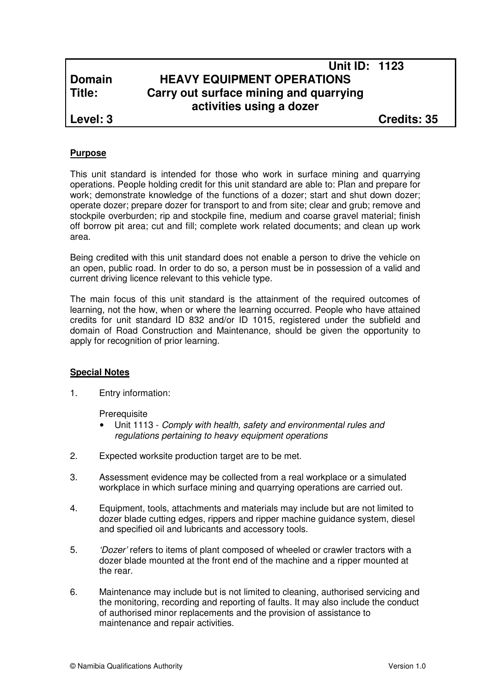## **Unit ID: 1123 Domain HEAVY EQUIPMENT OPERATIONS Title: Carry out surface mining and quarrying activities using a dozer**

**Level: 3 Credits: 35**

### **Purpose**

This unit standard is intended for those who work in surface mining and quarrying operations. People holding credit for this unit standard are able to: Plan and prepare for work; demonstrate knowledge of the functions of a dozer; start and shut down dozer; operate dozer; prepare dozer for transport to and from site; clear and grub; remove and stockpile overburden; rip and stockpile fine, medium and coarse gravel material; finish off borrow pit area; cut and fill; complete work related documents; and clean up work area.

Being credited with this unit standard does not enable a person to drive the vehicle on an open, public road. In order to do so, a person must be in possession of a valid and current driving licence relevant to this vehicle type.

The main focus of this unit standard is the attainment of the required outcomes of learning, not the how, when or where the learning occurred. People who have attained credits for unit standard ID 832 and/or ID 1015, registered under the subfield and domain of Road Construction and Maintenance, should be given the opportunity to apply for recognition of prior learning.

#### **Special Notes**

1. Entry information:

**Prerequisite** 

- Unit 1113 Comply with health, safety and environmental rules and regulations pertaining to heavy equipment operations
- 2. Expected worksite production target are to be met.
- 3. Assessment evidence may be collected from a real workplace or a simulated workplace in which surface mining and quarrying operations are carried out.
- 4. Equipment, tools, attachments and materials may include but are not limited to dozer blade cutting edges, rippers and ripper machine guidance system, diesel and specified oil and lubricants and accessory tools.
- 5. *'Dozer'* refers to items of plant composed of wheeled or crawler tractors with a dozer blade mounted at the front end of the machine and a ripper mounted at the rear.
- 6. Maintenance may include but is not limited to cleaning, authorised servicing and the monitoring, recording and reporting of faults. It may also include the conduct of authorised minor replacements and the provision of assistance to maintenance and repair activities.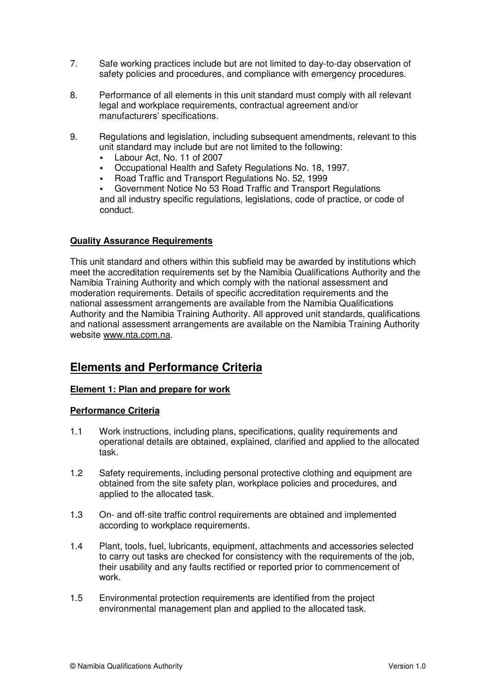- 7. Safe working practices include but are not limited to day-to-day observation of safety policies and procedures, and compliance with emergency procedures.
- 8. Performance of all elements in this unit standard must comply with all relevant legal and workplace requirements, contractual agreement and/or manufacturers' specifications.
- 9. Regulations and legislation, including subsequent amendments, relevant to this unit standard may include but are not limited to the following:
	- Labour Act, No. 11 of 2007
	- Occupational Health and Safety Regulations No. 18, 1997.
	- Road Traffic and Transport Regulations No. 52, 1999

 Government Notice No 53 Road Traffic and Transport Regulations and all industry specific regulations, legislations, code of practice, or code of conduct.

### **Quality Assurance Requirements**

This unit standard and others within this subfield may be awarded by institutions which meet the accreditation requirements set by the Namibia Qualifications Authority and the Namibia Training Authority and which comply with the national assessment and moderation requirements. Details of specific accreditation requirements and the national assessment arrangements are available from the Namibia Qualifications Authority and the Namibia Training Authority. All approved unit standards, qualifications and national assessment arrangements are available on the Namibia Training Authority website www.nta.com.na.

# **Elements and Performance Criteria**

## **Element 1: Plan and prepare for work**

- 1.1 Work instructions, including plans, specifications, quality requirements and operational details are obtained, explained, clarified and applied to the allocated task.
- 1.2 Safety requirements, including personal protective clothing and equipment are obtained from the site safety plan, workplace policies and procedures, and applied to the allocated task.
- 1.3 On- and off-site traffic control requirements are obtained and implemented according to workplace requirements.
- 1.4 Plant, tools, fuel, lubricants, equipment, attachments and accessories selected to carry out tasks are checked for consistency with the requirements of the job, their usability and any faults rectified or reported prior to commencement of work.
- 1.5 Environmental protection requirements are identified from the project environmental management plan and applied to the allocated task.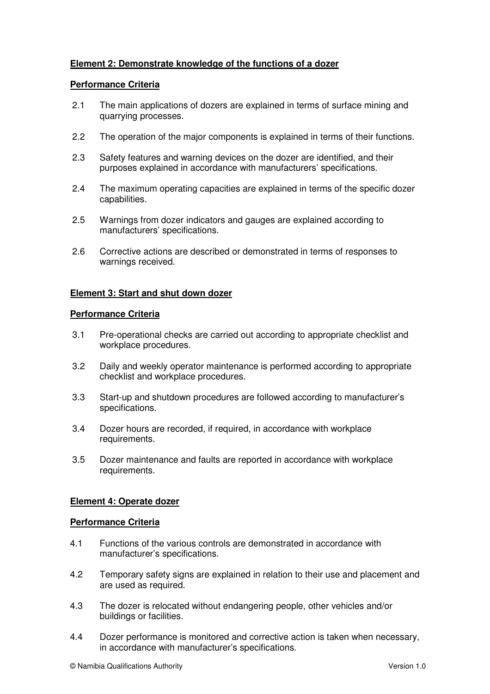## **Element 2: Demonstrate knowledge of the functions of a dozer**

#### **Performance Criteria**

- 2.1 The main applications of dozers are explained in terms of surface mining and quarrying processes.
- 2.2 The operation of the major components is explained in terms of their functions.
- 2.3 Safety features and warning devices on the dozer are identified, and their purposes explained in accordance with manufacturers' specifications.
- 2.4 The maximum operating capacities are explained in terms of the specific dozer capabilities.
- 2.5 Warnings from dozer indicators and gauges are explained according to manufacturers' specifications.
- 2.6 Corrective actions are described or demonstrated in terms of responses to warnings received.

### **Element 3: Start and shut down dozer**

#### **Performance Criteria**

- 3.1 Pre-operational checks are carried out according to appropriate checklist and workplace procedures.
- 3.2 Daily and weekly operator maintenance is performed according to appropriate checklist and workplace procedures.
- 3.3 Start-up and shutdown procedures are followed according to manufacturer's specifications.
- 3.4 Dozer hours are recorded, if required, in accordance with workplace requirements.
- 3.5 Dozer maintenance and faults are reported in accordance with workplace requirements.

#### **Element 4: Operate dozer**

- 4.1 Functions of the various controls are demonstrated in accordance with manufacturer's specifications.
- 4.2 Temporary safety signs are explained in relation to their use and placement and are used as required.
- 4.3 The dozer is relocated without endangering people, other vehicles and/or buildings or facilities.
- 4.4 Dozer performance is monitored and corrective action is taken when necessary, in accordance with manufacturer's specifications.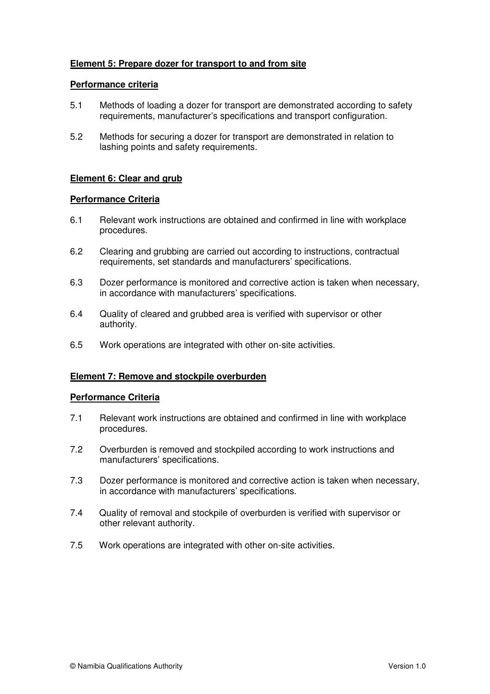## **Element 5: Prepare dozer for transport to and from site**

#### **Performance criteria**

- 5.1 Methods of loading a dozer for transport are demonstrated according to safety requirements, manufacturer's specifications and transport configuration.
- 5.2 Methods for securing a dozer for transport are demonstrated in relation to lashing points and safety requirements.

## **Element 6: Clear and grub**

#### **Performance Criteria**

- 6.1 Relevant work instructions are obtained and confirmed in line with workplace procedures.
- 6.2 Clearing and grubbing are carried out according to instructions, contractual requirements, set standards and manufacturers' specifications.
- 6.3 Dozer performance is monitored and corrective action is taken when necessary, in accordance with manufacturers' specifications.
- 6.4 Quality of cleared and grubbed area is verified with supervisor or other authority.
- 6.5 Work operations are integrated with other on-site activities.

#### **Element 7: Remove and stockpile overburden**

- 7.1 Relevant work instructions are obtained and confirmed in line with workplace procedures.
- 7.2 Overburden is removed and stockpiled according to work instructions and manufacturers' specifications.
- 7.3 Dozer performance is monitored and corrective action is taken when necessary, in accordance with manufacturers' specifications.
- 7.4 Quality of removal and stockpile of overburden is verified with supervisor or other relevant authority.
- 7.5 Work operations are integrated with other on-site activities.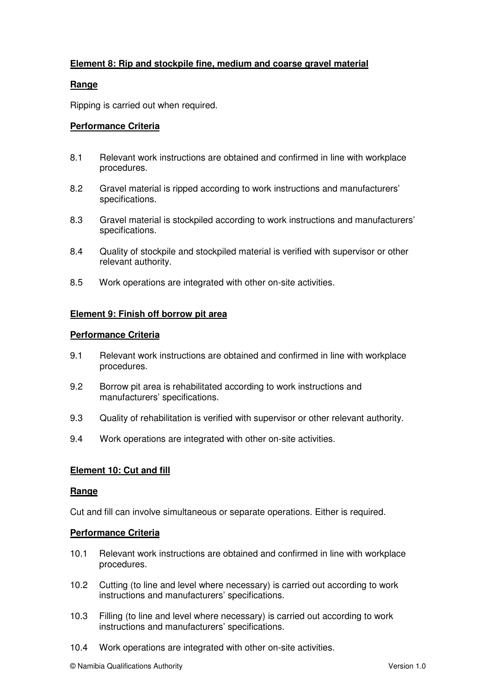## **Element 8: Rip and stockpile fine, medium and coarse gravel material**

#### **Range**

Ripping is carried out when required.

### **Performance Criteria**

- 8.1 Relevant work instructions are obtained and confirmed in line with workplace procedures.
- 8.2 Gravel material is ripped according to work instructions and manufacturers' specifications.
- 8.3 Gravel material is stockpiled according to work instructions and manufacturers' specifications.
- 8.4 Quality of stockpile and stockpiled material is verified with supervisor or other relevant authority.
- 8.5 Work operations are integrated with other on-site activities.

#### **Element 9: Finish off borrow pit area**

#### **Performance Criteria**

- 9.1 Relevant work instructions are obtained and confirmed in line with workplace procedures.
- 9.2 Borrow pit area is rehabilitated according to work instructions and manufacturers' specifications.
- 9.3 Quality of rehabilitation is verified with supervisor or other relevant authority.
- 9.4 Work operations are integrated with other on-site activities.

#### **Element 10: Cut and fill**

#### **Range**

Cut and fill can involve simultaneous or separate operations. Either is required.

- 10.1 Relevant work instructions are obtained and confirmed in line with workplace procedures.
- 10.2 Cutting (to line and level where necessary) is carried out according to work instructions and manufacturers' specifications.
- 10.3 Filling (to line and level where necessary) is carried out according to work instructions and manufacturers' specifications.
- 10.4 Work operations are integrated with other on-site activities.